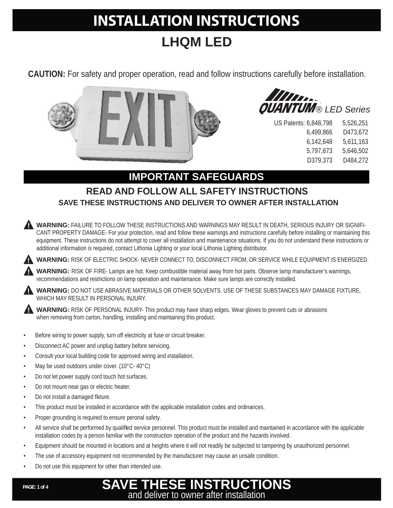## **INSTALLATION INSTRUCTIONS LHQM LED**

**CAUTION:** For safety and proper operation, read and follow instructions carefully before installation.





US Patents: 6,848,798 6,499,866 6,142,648 5,797,673 D379,373 5,526,251 D473,672 5,611,163 5,646,502 D484,272

## **IMPORTANT SAFEGUARDS**

### **READ AND FOLLOW ALL SAFETY INSTRUCTIONS SAVE THESE INSTRUCTIONS AND DELIVER TO OWNER AFTER INSTALLATION**

**WARNING:** FAILURE TO FOLLOW THESE INSTRUCTIONS AND WARNINGS MAY RESULT IN DEATH, SERIOUS INJURY OR SIGNIFI-CANT PROPERTY DAMAGE- For your protection, read and follow these warnings and instructions carefully before installing or maintaining this equipment. These instructions do not attempt to cover all installation and maintenance situations. If you do not understand these instructions or additional information is required, contact Lithonia Lighting or your local Lithonia Lighting distributor.

**WARNING:** RISK OF ELECTRIC SHOCK- NEVER CONNECT TO, DISCONNECT FROM, OR SERVICE WHILE EQUIPMENT IS ENERGIZED.

**WARNING:** RISK OF FIRE- Lamps are hot. Keep combustible material away from hot parts. Observe lamp manufacturer's warnings, recommendations and restrictions on lamp operation and maintenance. Make sure lamps are correctly installed.

**WARNING:** DO NOT USE ABRASIVE MATERIALS OR OTHER SOLVENTS. USE OF THESE SUBSTANCES MAY DAMAGE FIXTURE, WHICH MAY RESULT IN PERSONAL INJURY.

A **WARNING:** RISK OF PERSONAL INJURY- This product may have sharp edges. Wear gloves to prevent cuts or abrasions when removing from carton, handling, installing and maintaining this product.

- Before wiring to power supply, turn off electricity at fuse or circuit breaker.
- Disconnect AC power and unplug battery before servicing.
- Consult your local building code for approved wiring and installation.
- May be used outdoors under cover. (10°C- 40°C)
- Do not let power supply cord touch hot surfaces.
- Do not mount near gas or electric heater.
- Do not install a damaged fixture.
- This product must be installed in accordance with the applicable installation codes and ordinances.
- Proper grounding is required to ensure peronal safety.
- All service shall be performed by qualified service personnel. This product must be installed and maintained in accordance with the applicable installation codes by a person familiar with the construction operation of the product and the hazards involved.
- Equipment should be mounted in locations and at heights where it will not readily be subjected to tampering by unauthorized personnel.
- The use of accessory equipment not recommended by the manufacturer may cause an unsafe condition.
- Do not use this equipment for other than intended use.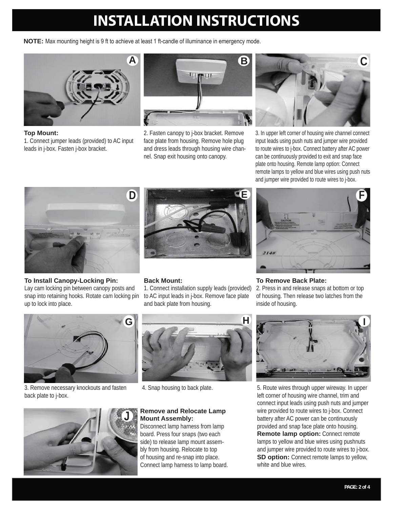## **INSTALLATION INSTRUCTIONS**

**NOTE:** Max mounting height is 9 ft to achieve at least 1 ft-candle of illuminance in emergency mode.



**Top Mount:** 1. Connect jumper leads (provided) to AC input leads in j-box. Fasten j-box bracket.



2. Fasten canopy to j-box bracket. Remove face plate from housing. Remove hole plug and dress leads through housing wire channel. Snap exit housing onto canopy.



3. In upper left corner of housing wire channel connect input leads using push nuts and jumper wire provided to route wires to j-box. Connect battery after AC power can be continuously provided to exit and snap face plate onto housing. Remote lamp option: Connect remote lamps to yellow and blue wires using push nuts and jumper wire provided to route wires to j-box.



#### **To Install Canopy-Locking Pin:**

Lay cam locking pin between canopy posts and snap into retaining hooks. Rotate cam locking pin up to lock into place.





**To Remove Back Plate:**

**Back Mount:**

1. Connect installation supply leads (provided) to AC input leads in j-box. Remove face plate and back plate from housing.





3. Remove necessary knockouts and fasten back plate to j-box.





### **Remove and Relocate Lamp Mount Assembly:**

Disconnect lamp harness from lamp board. Press four snaps (two each side) to release lamp mount assembly from housing. Relocate to top of housing and re-snap into place. Connect lamp harness to lamp board.



5. Route wires through upper wireway. In upper left corner of housing wire channel, trim and connect input leads using push nuts and jumper wire provided to route wires to j-box. Connect battery after AC power can be continuously provided and snap face plate onto housing. **Remote lamp option:** Connect remote lamps to yellow and blue wires using pushnuts and jumper wire provided to route wires to j-box. **SD option:** Connect remote lamps to yellow, white and blue wires.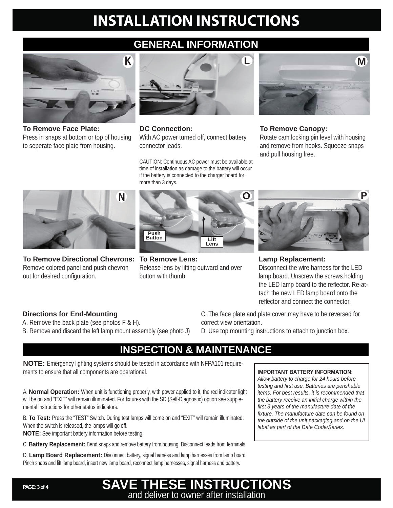# **INSTALLATION INSTRUCTIONS**

## **GENERAL INFORMATION**



**To Remove Face Plate:** Press in snaps at bottom or top of housing to seperate face plate from housing.



**DC Connection:** With AC power turned off, connect battery connector leads.

CAUTION: Continuous AC power must be available at time of installation as damage to the battery will occur if the battery is connected to the charger board for more than 3 days.



**To Remove Canopy:** Rotate cam locking pin level with housing and remove from hooks. Squeeze snaps and pull housing free.



**To Remove Directional Chevrons:** Remove colored panel and push chevron out for desired configuration.



Release lens by lifting outward and over

**To Remove Lens:**

button with thumb.



**Lamp Replacement:** Disconnect the wire harness for the LED lamp board. Unscrew the screws holding the LED lamp board to the reflector. Re-attach the new LED lamp board onto the reflector and connect the connector.

### **Directions for End-Mounting**

A. Remove the back plate (see photos F & H).

B. Remove and discard the left lamp mount assembly (see photo J)

C. The face plate and plate cover may have to be reversed for correct view orientation.

D. Use top mounting instructions to attach to junction box.

### **INSPECTION & MAINTENANCE**

**SAVE THESE INSTRUCTIONS**  and deliver to owner after installation

**NOTE:** Emergency lighting systems should be tested in accordance with NFPA101 requirements to ensure that all components are operational.

A. **Normal Operation:** When unit is functioning properly, with power applied to it, the red indicator light will be on and "EXIT" will remain illuminated. For fixtures with the SD (Self-Diagnostic) option see supplemental instructions for other status indicators.

B. **To Test:** Press the "TEST" Switch. During test lamps will come on and "EXIT" will remain illuminated. When the switch is released, the lamps will go off.

**NOTE:** See important battery information before testing.

C. **Battery Replacement:** Bend snaps and remove battery from housing. Disconnect leads from terminals.

D. **Lamp Board Replacement:** Disconnect battery, signal harness and lamp harnesses from lamp board. Pinch snaps and lift lamp board, insert new lamp board, reconnect lamp harnesses, signal harness and battery.

#### **IMPORTANT BATTERY INFORMATION:**

*Allow battery to charge for 24 hours before testing and fi rst use. Batteries are perishable items. For best results, it is recommended that the battery receive an initial charge within the fi rst 3 years of the manufacture date of the fi xture. The manufacture date can be found on the outside of the unit packaging and on the UL label as part of the Date Code/Series.*